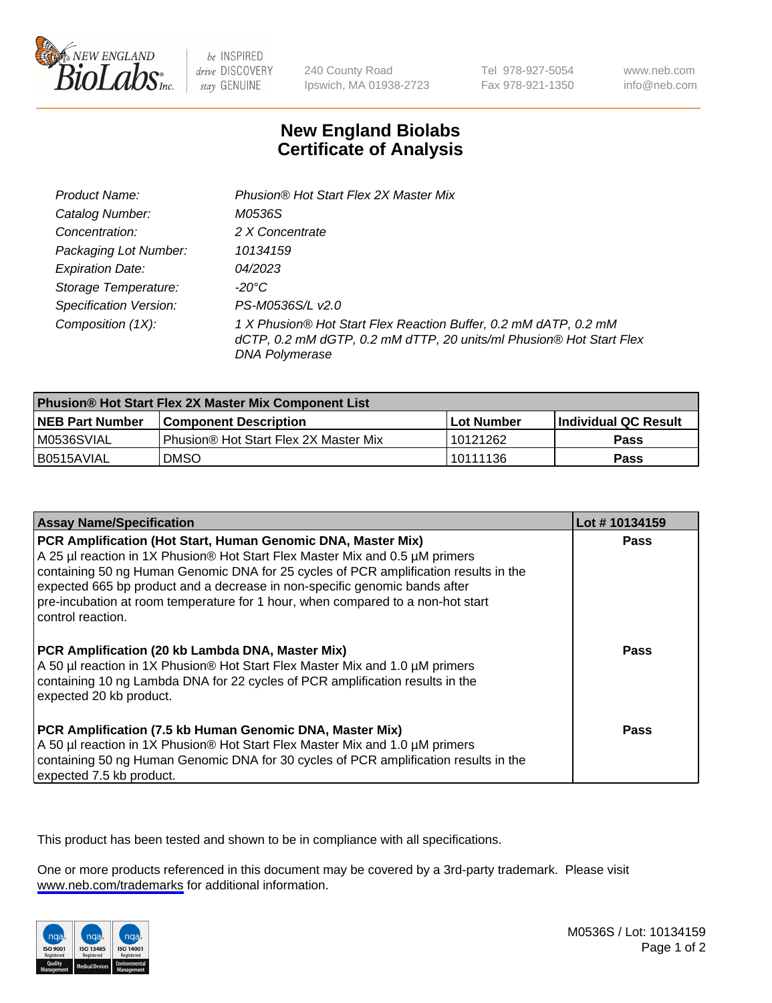

be INSPIRED drive DISCOVERY stay GENUINE

240 County Road Ipswich, MA 01938-2723 Tel 978-927-5054 Fax 978-921-1350

www.neb.com info@neb.com

## **New England Biolabs Certificate of Analysis**

| Product Name:                 | Phusion® Hot Start Flex 2X Master Mix                                                                                                                     |
|-------------------------------|-----------------------------------------------------------------------------------------------------------------------------------------------------------|
| Catalog Number:               | M0536S                                                                                                                                                    |
| Concentration:                | 2 X Concentrate                                                                                                                                           |
| Packaging Lot Number:         | 10134159                                                                                                                                                  |
| <b>Expiration Date:</b>       | 04/2023                                                                                                                                                   |
| Storage Temperature:          | -20°C                                                                                                                                                     |
| <b>Specification Version:</b> | PS-M0536S/L v2.0                                                                                                                                          |
| Composition (1X):             | 1 X Phusion® Hot Start Flex Reaction Buffer, 0.2 mM dATP, 0.2 mM<br>dCTP, 0.2 mM dGTP, 0.2 mM dTTP, 20 units/ml Phusion® Hot Start Flex<br>DNA Polymerase |

| <b>Phusion® Hot Start Flex 2X Master Mix Component List</b> |                                              |                   |                      |  |
|-------------------------------------------------------------|----------------------------------------------|-------------------|----------------------|--|
| <b>NEB Part Number</b>                                      | <b>Component Description</b>                 | <b>Lot Number</b> | Individual QC Result |  |
| M0536SVIAL                                                  | <b>Phusion® Hot Start Flex 2X Master Mix</b> | 10121262          | Pass                 |  |
| I B0515AVIAL                                                | <b>DMSO</b>                                  | 10111136          | Pass                 |  |

| <b>Assay Name/Specification</b>                                                                                                                                                                                                                                                                                                                                                                                            | Lot #10134159 |
|----------------------------------------------------------------------------------------------------------------------------------------------------------------------------------------------------------------------------------------------------------------------------------------------------------------------------------------------------------------------------------------------------------------------------|---------------|
| PCR Amplification (Hot Start, Human Genomic DNA, Master Mix)<br>A 25 µl reaction in 1X Phusion® Hot Start Flex Master Mix and 0.5 µM primers<br>containing 50 ng Human Genomic DNA for 25 cycles of PCR amplification results in the<br>expected 665 bp product and a decrease in non-specific genomic bands after<br>pre-incubation at room temperature for 1 hour, when compared to a non-hot start<br>control reaction. | <b>Pass</b>   |
| PCR Amplification (20 kb Lambda DNA, Master Mix)<br>A 50 µl reaction in 1X Phusion® Hot Start Flex Master Mix and 1.0 µM primers<br>containing 10 ng Lambda DNA for 22 cycles of PCR amplification results in the<br>expected 20 kb product.                                                                                                                                                                               | Pass          |
| PCR Amplification (7.5 kb Human Genomic DNA, Master Mix)<br>A 50 µl reaction in 1X Phusion® Hot Start Flex Master Mix and 1.0 µM primers<br>containing 50 ng Human Genomic DNA for 30 cycles of PCR amplification results in the<br>expected 7.5 kb product.                                                                                                                                                               | Pass          |

This product has been tested and shown to be in compliance with all specifications.

One or more products referenced in this document may be covered by a 3rd-party trademark. Please visit <www.neb.com/trademarks>for additional information.